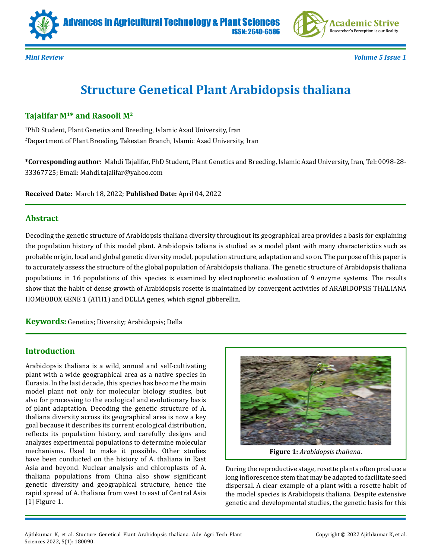



*Mini Review Volume 5 Issue 1*

# **Structure Genetical Plant Arabidopsis thaliana**

ISSN: 2640-6586

# **Tajalifar M1\* and Rasooli M2**

1 PhD Student, Plant Genetics and Breeding, Islamic Azad University, Iran 2 Department of Plant Breeding, Takestan Branch, Islamic Azad University, Iran

**\*Corresponding author:** Mahdi Tajalifar, PhD Student, Plant Genetics and Breeding, Islamic Azad University, Iran, Tel: 0098-28- 33367725; Email: Mahdi.tajalifar@yahoo.com

**Received Date:** March 18, 2022; **Published Date:** April 04, 2022

#### **Abstract**

Decoding the genetic structure of Arabidopsis thaliana diversity throughout its geographical area provides a basis for explaining the population history of this model plant. Arabidopsis taliana is studied as a model plant with many characteristics such as probable origin, local and global genetic diversity model, population structure, adaptation and so on. The purpose of this paper is to accurately assess the structure of the global population of Arabidopsis thaliana. The genetic structure of Arabidopsis thaliana populations in 16 populations of this species is examined by electrophoretic evaluation of 9 enzyme systems. The results show that the habit of dense growth of Arabidopsis rosette is maintained by convergent activities of ARABIDOPSIS THALIANA HOMEOBOX GENE 1 (ATH1) and DELLA genes, which signal gibberellin.

**Keywords:** Genetics; Diversity; Arabidopsis; Della

# **Introduction**

Arabidopsis thaliana is a wild, annual and self-cultivating plant with a wide geographical area as a native species in Eurasia. In the last decade, this species has become the main model plant not only for molecular biology studies, but also for processing to the ecological and evolutionary basis of plant adaptation. Decoding the genetic structure of A. thaliana diversity across its geographical area is now a key goal because it describes its current ecological distribution, reflects its population history, and carefully designs and analyzes experimental populations to determine molecular mechanisms. Used to make it possible. Other studies have been conducted on the history of A. thaliana in East Asia and beyond. Nuclear analysis and chloroplasts of A. thaliana populations from China also show significant genetic diversity and geographical structure, hence the rapid spread of A. thaliana from west to east of Central Asia [1] Figure 1.



**Figure 1:** *Arabidopsis thaliana*.

During the reproductive stage, rosette plants often produce a long inflorescence stem that may be adapted to facilitate seed dispersal. A clear example of a plant with a rosette habit of the model species is Arabidopsis thaliana. Despite extensive genetic and developmental studies, the genetic basis for this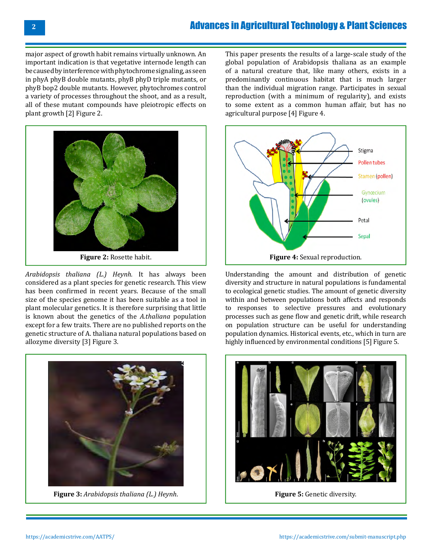major aspect of growth habit remains virtually unknown. An important indication is that vegetative internode length can be caused by interference with phytochrome signaling, as seen in phyA phyB double mutants, phyB phyD triple mutants, or phyB bop2 double mutants. However, phytochromes control a variety of processes throughout the shoot, and as a result, all of these mutant compounds have pleiotropic effects on plant growth [2] Figure 2.



*Arabidopsis thaliana (L.) Heynh.* It has always been considered as a plant species for genetic research. This view has been confirmed in recent years. Because of the small size of the species genome it has been suitable as a tool in plant molecular genetics. It is therefore surprising that little is known about the genetics of the *A.thaliana* population except for a few traits. There are no published reports on the genetic structure of A. thaliana natural populations based on allozyme diversity [3] Figure 3.



**Figure 3:** *Arabidopsis thaliana (L.) Heynh*.

This paper presents the results of a large-scale study of the global population of Arabidopsis thaliana as an example of a natural creature that, like many others, exists in a predominantly continuous habitat that is much larger than the individual migration range. Participates in sexual reproduction (with a minimum of regularity), and exists to some extent as a common human affair, but has no agricultural purpose [4] Figure 4.



Understanding the amount and distribution of genetic diversity and structure in natural populations is fundamental to ecological genetic studies. The amount of genetic diversity within and between populations both affects and responds to responses to selective pressures and evolutionary processes such as gene flow and genetic drift, while research on population structure can be useful for understanding population dynamics. Historical events, etc., which in turn are highly influenced by environmental conditions [5] Figure 5.



**Figure 5:** Genetic diversity.